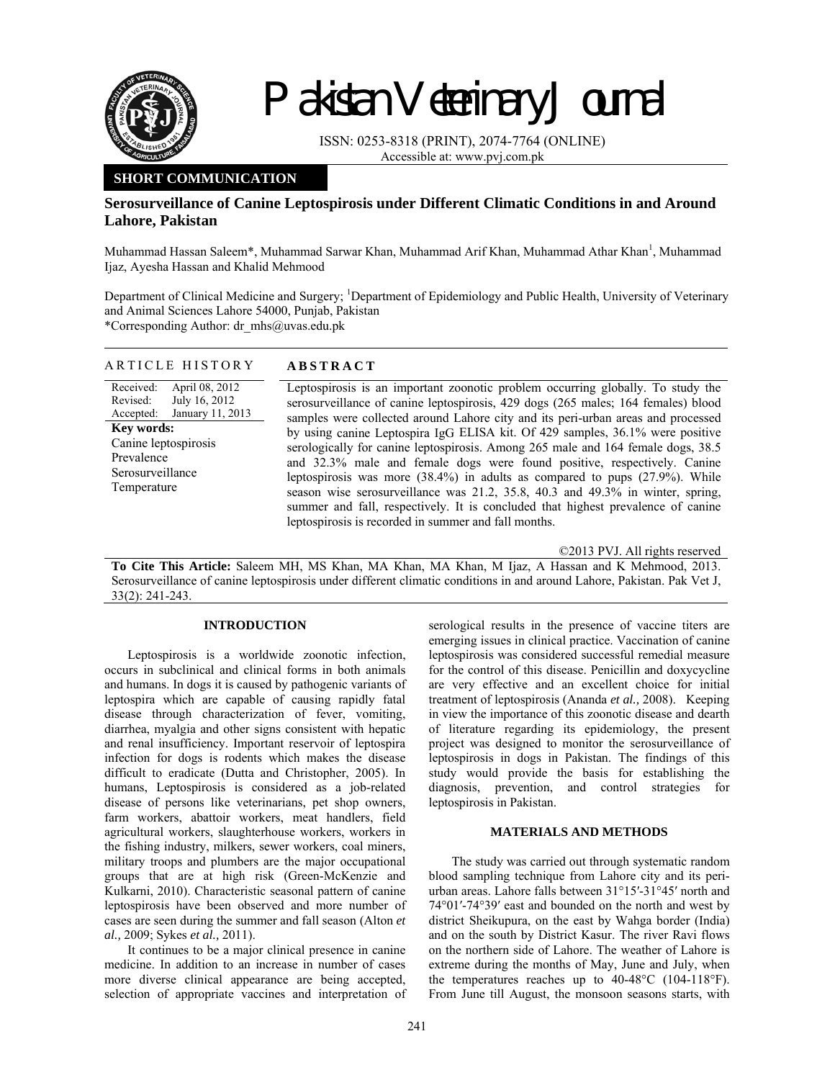

# Pakistan Veterinary Journal

ISSN: 0253-8318 (PRINT), 2074-7764 (ONLINE) Accessible at: www.pvj.com.pk

## **SHORT COMMUNICATION**

# **Serosurveillance of Canine Leptospirosis under Different Climatic Conditions in and Around Lahore, Pakistan**

Muhammad Hassan Saleem\*, Muhammad Sarwar Khan, Muhammad Arif Khan, Muhammad Athar Khan<sup>1</sup>, Muhammad Ijaz, Ayesha Hassan and Khalid Mehmood

Department of Clinical Medicine and Surgery; <sup>1</sup>Department of Epidemiology and Public Health, University of Veterinary and Animal Sciences Lahore 54000, Punjab, Pakistan \*Corresponding Author: dr\_mhs@uvas.edu.pk

#### ARTICLE HISTORY **ABSTRACT**

Received: Revised: Accepted: April 08, 2012 July 16, 2012 January 11, 2013 **Key words:**  Canine leptospirosis Prevalence Serosurveillance Temperature

Leptospirosis is an important zoonotic problem occurring globally. To study the serosurveillance of canine leptospirosis, 429 dogs (265 males; 164 females) blood samples were collected around Lahore city and its peri-urban areas and processed by using canine Leptospira IgG ELISA kit. Of 429 samples, 36.1% were positive serologically for canine leptospirosis. Among 265 male and 164 female dogs, 38.5 and 32.3% male and female dogs were found positive, respectively. Canine leptospirosis was more (38.4%) in adults as compared to pups (27.9%). While season wise serosurveillance was 21.2, 35.8, 40.3 and 49.3% in winter, spring, summer and fall, respectively. It is concluded that highest prevalence of canine leptospirosis is recorded in summer and fall months.

©2013 PVJ. All rights reserved

**To Cite This Article:** Saleem MH, MS Khan, MA Khan, MA Khan, M Ijaz, A Hassan and K Mehmood, 2013. Serosurveillance of canine leptospirosis under different climatic conditions in and around Lahore, Pakistan. Pak Vet J, 33(2): 241-243.

## **INTRODUCTION**

Leptospirosis is a worldwide zoonotic infection, occurs in subclinical and clinical forms in both animals and humans. In dogs it is caused by pathogenic variants of leptospira which are capable of causing rapidly fatal disease through characterization of fever, vomiting, diarrhea, myalgia and other signs consistent with hepatic and renal insufficiency. Important reservoir of leptospira infection for dogs is rodents which makes the disease difficult to eradicate (Dutta and Christopher, 2005). In humans, Leptospirosis is considered as a job-related disease of persons like veterinarians, pet shop owners, farm workers, abattoir workers, meat handlers, field agricultural workers, slaughterhouse workers, workers in the fishing industry, milkers, sewer workers, coal miners, military troops and plumbers are the major occupational groups that are at high risk (Green-McKenzie and Kulkarni, 2010). Characteristic seasonal pattern of canine leptospirosis have been observed and more number of cases are seen during the summer and fall season (Alton *et al.,* 2009; Sykes *et al.,* 2011).

It continues to be a major clinical presence in canine medicine. In addition to an increase in number of cases more diverse clinical appearance are being accepted, selection of appropriate vaccines and interpretation of serological results in the presence of vaccine titers are emerging issues in clinical practice. Vaccination of canine leptospirosis was considered successful remedial measure for the control of this disease. Penicillin and doxycycline are very effective and an excellent choice for initial treatment of leptospirosis (Ananda *et al.,* 2008). Keeping in view the importance of this zoonotic disease and dearth of literature regarding its epidemiology, the present project was designed to monitor the serosurveillance of leptospirosis in dogs in Pakistan. The findings of this study would provide the basis for establishing the diagnosis, prevention, and control strategies for leptospirosis in Pakistan.

### **MATERIALS AND METHODS**

The study was carried out through systematic random blood sampling technique from Lahore city and its periurban areas. Lahore falls between 31°15′-31°45′ north and 74°01′-74°39′ east and bounded on the north and west by district Sheikupura, on the east by Wahga border (India) and on the south by District Kasur. The river Ravi flows on the northern side of Lahore. The weather of Lahore is extreme during the months of May, June and July, when the temperatures reaches up to 40-48°C (104-118°F). From June till August, the monsoon seasons starts, with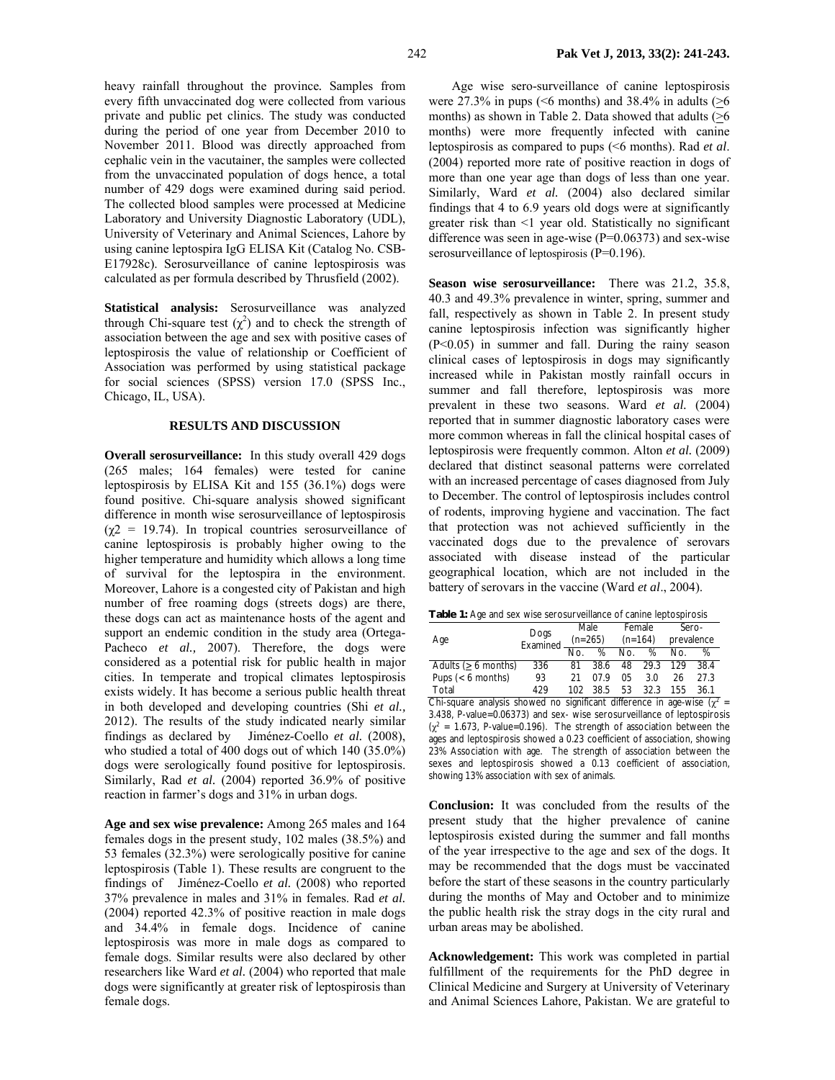heavy rainfall throughout the province*.* Samples from every fifth unvaccinated dog were collected from various private and public pet clinics. The study was conducted during the period of one year from December 2010 to November 2011. Blood was directly approached from cephalic vein in the vacutainer, the samples were collected from the unvaccinated population of dogs hence, a total number of 429 dogs were examined during said period. The collected blood samples were processed at Medicine Laboratory and University Diagnostic Laboratory (UDL), University of Veterinary and Animal Sciences, Lahore by using canine leptospira IgG ELISA Kit (Catalog No. CSB-E17928c). Serosurveillance of canine leptospirosis was calculated as per formula described by Thrusfield (2002).

**Statistical analysis:** Serosurveillance was analyzed through Chi-square test  $(\chi^2)$  and to check the strength of association between the age and sex with positive cases of leptospirosis the value of relationship or Coefficient of Association was performed by using statistical package for social sciences (SPSS) version 17.0 (SPSS Inc., Chicago, IL, USA).

#### **RESULTS AND DISCUSSION**

**Overall serosurveillance:** In this study overall 429 dogs (265 males; 164 females) were tested for canine leptospirosis by ELISA Kit and 155 (36.1%) dogs were found positive. Chi-square analysis showed significant difference in month wise serosurveillance of leptospirosis  $(\gamma 2 = 19.74)$ . In tropical countries serosurveillance of canine leptospirosis is probably higher owing to the higher temperature and humidity which allows a long time of survival for the leptospira in the environment. Moreover, Lahore is a congested city of Pakistan and high number of free roaming dogs (streets dogs) are there, these dogs can act as maintenance hosts of the agent and support an endemic condition in the study area (Ortega-Pacheco *et al.*, 2007). Therefore, the dogs were considered as a potential risk for public health in major cities. In temperate and tropical climates leptospirosis exists widely. It has become a serious public health threat in both developed and developing countries (Shi *et al.,* 2012). The results of the study indicated nearly similar findings as declared by Jiménez-Coello *et al.* (2008), who studied a total of 400 dogs out of which 140 (35.0%) dogs were serologically found positive for leptospirosis. Similarly, Rad *et al.* (2004) reported 36.9% of positive reaction in farmer's dogs and 31% in urban dogs.

**Age and sex wise prevalence:** Among 265 males and 164 females dogs in the present study, 102 males (38.5%) and 53 females (32.3%) were serologically positive for canine leptospirosis (Table 1). These results are congruent to the findings of Jiménez-Coello *et al.* (2008) who reported 37% prevalence in males and 31% in females. Rad *et al.* (2004) reported 42.3% of positive reaction in male dogs and 34.4% in female dogs. Incidence of canine leptospirosis was more in male dogs as compared to female dogs. Similar results were also declared by other researchers like Ward *et al.* (2004) who reported that male dogs were significantly at greater risk of leptospirosis than female dogs.

Age wise sero-surveillance of canine leptospirosis were  $27.3\%$  in pups (<6 months) and  $38.4\%$  in adults (>6 months) as shown in Table 2. Data showed that adults (>6 months) were more frequently infected with canine leptospirosis as compared to pups (<6 months). Rad *et al*. (2004) reported more rate of positive reaction in dogs of more than one year age than dogs of less than one year. Similarly, Ward *et al.* (2004) also declared similar findings that 4 to 6.9 years old dogs were at significantly greater risk than <1 year old. Statistically no significant difference was seen in age-wise  $(P=0.06373)$  and sex-wise serosurveillance of leptospirosis (P=0.196).

**Season wise serosurveillance:** There was 21.2, 35.8, 40.3 and 49.3% prevalence in winter, spring, summer and fall, respectively as shown in Table 2. In present study canine leptospirosis infection was significantly higher (P<0.05) in summer and fall. During the rainy season clinical cases of leptospirosis in dogs may significantly increased while in Pakistan mostly rainfall occurs in summer and fall therefore, leptospirosis was more prevalent in these two seasons. Ward *et al.* (2004) reported that in summer diagnostic laboratory cases were more common whereas in fall the clinical hospital cases of leptospirosis were frequently common. Alton *et al.* (2009) declared that distinct seasonal patterns were correlated with an increased percentage of cases diagnosed from July to December. The control of leptospirosis includes control of rodents, improving hygiene and vaccination. The fact that protection was not achieved sufficiently in the vaccinated dogs due to the prevalence of serovars associated with disease instead of the particular geographical location, which are not included in the battery of serovars in the vaccine (Ward *et al*., 2004).

| Table 1: Age and sex wise serosurveillance of canine leptospirosis |  |  |
|--------------------------------------------------------------------|--|--|
|--------------------------------------------------------------------|--|--|

| Age                    | Dogs<br>Examined — | Male<br>$(n=265)$ |      | Female<br>$(n=164)$ |      | Sero-<br>prevalence |      |
|------------------------|--------------------|-------------------|------|---------------------|------|---------------------|------|
|                        |                    | No                | %    | No.                 | %    | No.                 | %    |
| Adults ( $> 6$ months) | 336                | 81                | 38.6 | 48                  | 29.3 | 129                 | 38.4 |
| Pups $(< 6$ months)    | 93                 | 21                | 07.9 | 05                  | 3.0  | 26                  | 27.3 |
| Total                  | 429                | 102               | 38.5 | 53                  | 32.3 | 155                 | 36.1 |

Chi-square analysis showed no significant difference in age-wise  $(\chi^2 =$ 3.438, P-value=0.06373) and sex- wise serosurveillance of leptospirosis  $(\chi^2 = 1.673, P-value = 0.196)$ . The strength of association between the ages and leptospirosis showed a 0.23 coefficient of association, showing 23% Association with age. The strength of association between the sexes and leptospirosis showed a 0.13 coefficient of association, showing 13% association with sex of animals.

**Conclusion:** It was concluded from the results of the present study that the higher prevalence of canine leptospirosis existed during the summer and fall months of the year irrespective to the age and sex of the dogs. It may be recommended that the dogs must be vaccinated before the start of these seasons in the country particularly during the months of May and October and to minimize the public health risk the stray dogs in the city rural and urban areas may be abolished.

**Acknowledgement:** This work was completed in partial fulfillment of the requirements for the PhD degree in Clinical Medicine and Surgery at University of Veterinary and Animal Sciences Lahore, Pakistan. We are grateful to